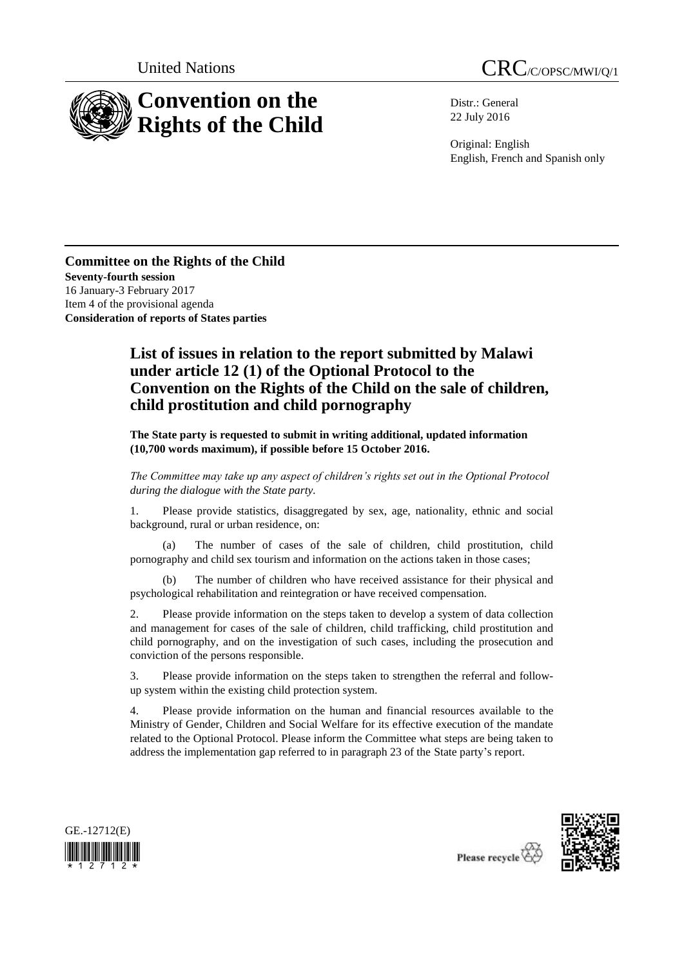

Distr.: General 22 July 2016

Original: English English, French and Spanish only

**Committee on the Rights of the Child Seventy-fourth session** 16 January-3 February 2017 Item 4 of the provisional agenda **Consideration of reports of States parties**

## **List of issues in relation to the report submitted by Malawi under article 12 (1) of the Optional Protocol to the Convention on the Rights of the Child on the sale of children, child prostitution and child pornography**

**The State party is requested to submit in writing additional, updated information (10,700 words maximum), if possible before 15 October 2016.**

*The Committee may take up any aspect of children's rights set out in the Optional Protocol during the dialogue with the State party.*

1. Please provide statistics, disaggregated by sex, age, nationality, ethnic and social background, rural or urban residence, on:

(a) The number of cases of the sale of children, child prostitution, child pornography and child sex tourism and information on the actions taken in those cases;

(b) The number of children who have received assistance for their physical and psychological rehabilitation and reintegration or have received compensation.

2. Please provide information on the steps taken to develop a system of data collection and management for cases of the sale of children, child trafficking, child prostitution and child pornography, and on the investigation of such cases, including the prosecution and conviction of the persons responsible.

3. Please provide information on the steps taken to strengthen the referral and followup system within the existing child protection system.

4. Please provide information on the human and financial resources available to the Ministry of Gender, Children and Social Welfare for its effective execution of the mandate related to the Optional Protocol. Please inform the Committee what steps are being taken to address the implementation gap referred to in paragraph 23 of the State party's report.





Please recycle